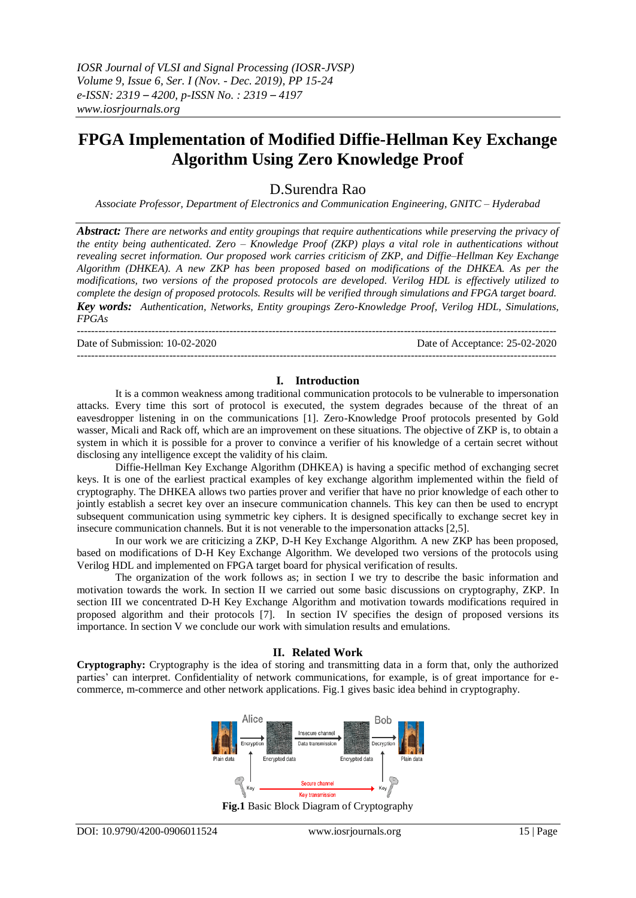*IOSR Journal of VLSI and Signal Processing (IOSR-JVSP) Volume 9, Issue 6, Ser. I (Nov. - Dec. 2019), PP 15-24 e-ISSN: 2319 – 4200, p-ISSN No. : 2319 – 4197 www.iosrjournals.org*

# **FPGA Implementation of Modified Diffie-Hellman Key Exchange Algorithm Using Zero Knowledge Proof**

D.Surendra Rao

*Associate Professor, Department of Electronics and Communication Engineering, GNITC – Hyderabad*

*Abstract: There are networks and entity groupings that require authentications while preserving the privacy of the entity being authenticated. Zero – Knowledge Proof (ZKP) plays a vital role in authentications without revealing secret information. Our proposed work carries criticism of ZKP, and Diffie–Hellman Key Exchange Algorithm (DHKEA). A new ZKP has been proposed based on modifications of the DHKEA. As per the modifications, two versions of the proposed protocols are developed. Verilog HDL is effectively utilized to complete the design of proposed protocols. Results will be verified through simulations and FPGA target board. Key words: Authentication, Networks, Entity groupings Zero-Knowledge Proof, Verilog HDL, Simulations, FPGAs* 

---------------------------------------------------------------------------------------------------------------------------------------

Date of Submission: 10-02-2020 Date of Acceptance: 25-02-2020  $-1\leq i\leq n-1$ 

### **I. Introduction**

It is a common weakness among traditional communication protocols to be vulnerable to impersonation attacks. Every time this sort of protocol is executed, the system degrades because of the threat of an eavesdropper listening in on the communications [1]. Zero-Knowledge Proof protocols presented by Gold wasser, Micali and Rack off, which are an improvement on these situations. The objective of ZKP is, to obtain a system in which it is possible for a prover to convince a verifier of his knowledge of a certain secret without disclosing any intelligence except the validity of his claim.

Diffie-Hellman Key Exchange Algorithm (DHKEA) is having a specific method of exchanging secret keys. It is one of the earliest practical examples of key exchange algorithm implemented within the field of cryptography. The DHKEA allows two parties prover and verifier that have no prior knowledge of each other to jointly establish a secret key over an insecure communication channels. This key can then be used to encrypt subsequent communication using symmetric key ciphers. It is designed specifically to exchange secret key in insecure communication channels. But it is not venerable to the impersonation attacks [2,5].

In our work we are criticizing a ZKP, D-H Key Exchange Algorithm. A new ZKP has been proposed, based on modifications of D-H Key Exchange Algorithm. We developed two versions of the protocols using Verilog HDL and implemented on FPGA target board for physical verification of results.

The organization of the work follows as; in section I we try to describe the basic information and motivation towards the work. In section II we carried out some basic discussions on cryptography, ZKP. In section III we concentrated D-H Key Exchange Algorithm and motivation towards modifications required in proposed algorithm and their protocols [7]. In section IV specifies the design of proposed versions its importance. In section V we conclude our work with simulation results and emulations.

### **II. Related Work**

**Cryptography:** Cryptography is the idea of storing and transmitting data in a form that, only the authorized parties' can interpret. Confidentiality of network communications, for example, is of great importance for ecommerce, m-commerce and other network applications. Fig.1 gives basic idea behind in cryptography.



**Fig.1** Basic Block Diagram of Cryptography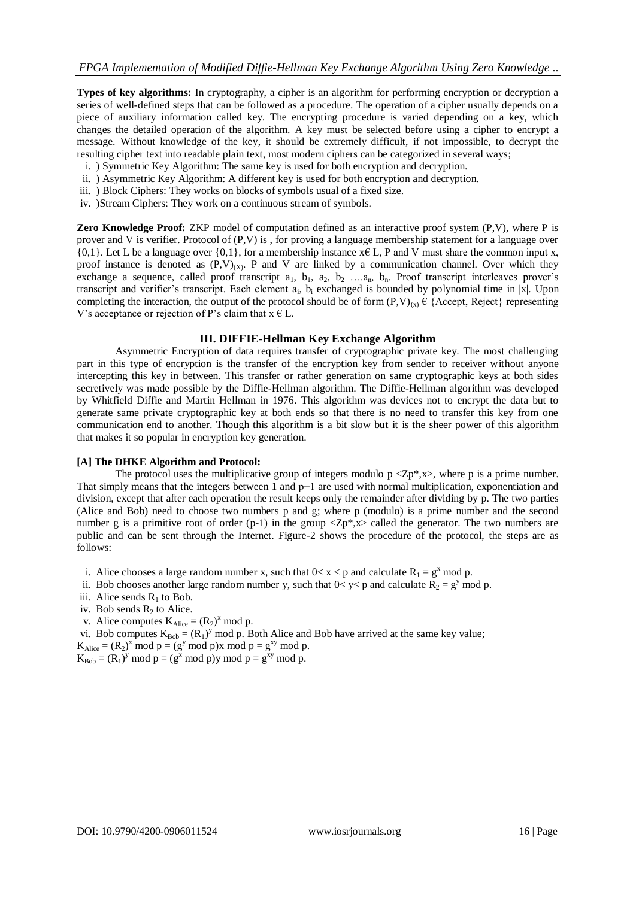**Types of key algorithms:** In cryptography, a cipher is an algorithm for performing encryption or decryption a series of well-defined steps that can be followed as a procedure. The operation of a cipher usually depends on a piece of auxiliary information called key. The encrypting procedure is varied depending on a key, which changes the detailed operation of the algorithm. A key must be selected before using a cipher to encrypt a message. Without knowledge of the key, it should be extremely difficult, if not impossible, to decrypt the resulting cipher text into readable plain text, most modern ciphers can be categorized in several ways;

- i. ) Symmetric Key Algorithm: The same key is used for both encryption and decryption.
- ii. ) Asymmetric Key Algorithm: A different key is used for both encryption and decryption.
- iii. ) Block Ciphers: They works on blocks of symbols usual of a fixed size.
- iv. )Stream Ciphers: They work on a continuous stream of symbols.

**Zero Knowledge Proof:** ZKP model of computation defined as an interactive proof system (P,V), where P is prover and V is verifier. Protocol of (P,V) is , for proving a language membership statement for a language over  ${0,1}$ . Let L be a language over  ${0,1}$ , for a membership instance  $x \in L$ , P and V must share the common input x, proof instance is denoted as  $(P, V)_{(X)}$ . P and V are linked by a communication channel. Over which they exchange a sequence, called proof transcript  $a_1$ ,  $b_1$ ,  $a_2$ ,  $b_2$  …. $a_n$ ,  $b_n$ . Proof transcript interleaves prover's transcript and verifier's transcript. Each element  $a_i$ ,  $b_i$  exchanged is bounded by polynomial time in |x|. Upon completing the interaction, the output of the protocol should be of form  $(P, V)_{(x)} \in \{Accept, Reject\}$  representing V's acceptance or rejection of P's claim that  $x \in L$ .

### **III. DIFFIE-Hellman Key Exchange Algorithm**

Asymmetric Encryption of data requires transfer of cryptographic private key. The most challenging part in this type of encryption is the transfer of the encryption key from sender to receiver without anyone intercepting this key in between. This transfer or rather generation on same cryptographic keys at both sides secretively was made possible by the Diffie-Hellman algorithm. The Diffie-Hellman algorithm was developed by Whitfield Diffie and Martin Hellman in 1976. This algorithm was devices not to encrypt the data but to generate same private cryptographic key at both ends so that there is no need to transfer this key from one communication end to another. Though this algorithm is a bit slow but it is the sheer power of this algorithm that makes it so popular in encryption key generation.

### **[A] The DHKE Algorithm and Protocol:**

The protocol uses the multiplicative group of integers modulo  $p \langle Zp^*,x \rangle$ , where p is a prime number. That simply means that the integers between 1 and p−1 are used with normal multiplication, exponentiation and division, except that after each operation the result keeps only the remainder after dividing by p. The two parties (Alice and Bob) need to choose two numbers p and g; where p (modulo) is a prime number and the second number g is a primitive root of order (p-1) in the group  $\langle Zp^*$ ,  $x\rangle$  called the generator. The two numbers are public and can be sent through the Internet. Figure-2 shows the procedure of the protocol, the steps are as follows:

- i. Alice chooses a large random number x, such that  $0 < x < p$  and calculate  $R_1 = g^x \mod p$ .
- ii. Bob chooses another large random number y, such that  $0 < y < p$  and calculate  $R_2 = g<sup>y</sup>$  mod p.
- iii. Alice sends  $R_1$  to Bob.
- iv. Bob sends  $R_2$  to Alice.
- v. Alice computes  $K_{Alice} = (R_2)^x \mod p$ .

vi. Bob computes  $K_{Bob} = (R_1)^y \text{ mod } p$ . Both Alice and Bob have arrived at the same key value;

 $K_{Alice} = (R_2)^x \text{ mod } p = (g^y \text{ mod } p)x \text{ mod } p = g^{xy} \text{ mod } p.$ 

 $K_{Bob} = (R_1)^y \text{ mod } p = (g^x \text{ mod } p)y \text{ mod } p = g^{xy} \text{ mod } p.$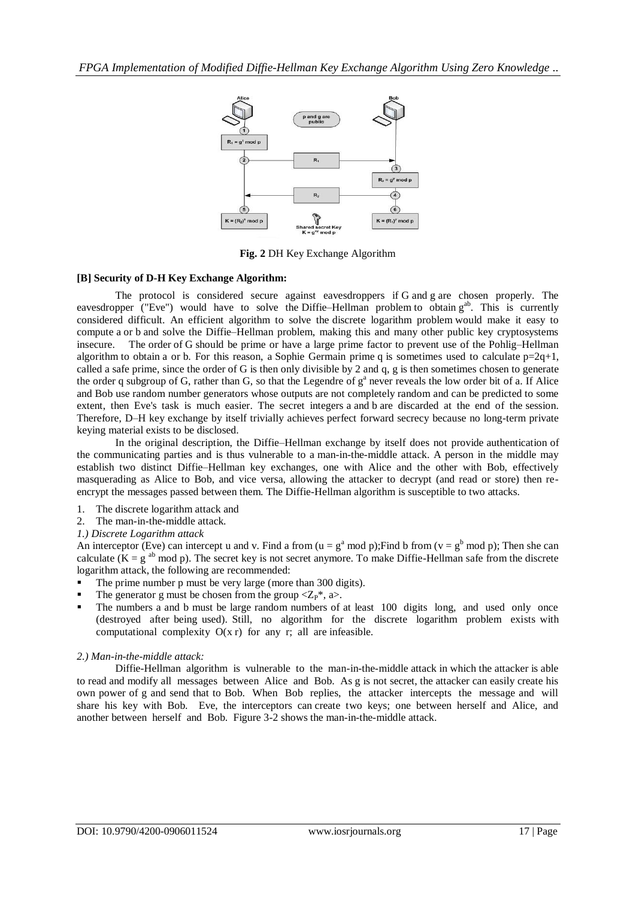

**Fig. 2** DH Key Exchange Algorithm

# **[B] Security of D-H Key Exchange Algorithm:**

The protocol is considered secure against eavesdroppers if G and g are chosen properly. The eavesdropper (["Eve"](http://en.wikipedia.org/wiki/Alice_and_Bob)) would have to solve the [Diffie–Hellman problem](http://en.wikipedia.org/wiki/Diffie%E2%80%93Hellman_problem) to obtain g<sup>ab</sup>. This is currently considered difficult. An efficient algorithm to solve the [discrete logarithm problem](http://en.wikipedia.org/wiki/Discrete_logarithm_problem) would make it easy to compute a or b and solve the Diffie–Hellman problem, making this and many other public key cryptosystems insecure. The [order](http://en.wikipedia.org/wiki/Glossary_of_group_theory) of G should be prime or have a large prime factor to prevent use of the [Pohlig–Hellman](http://en.wikipedia.org/wiki/Pohlig%E2%80%93Hellman_algorithm)  [algorithm](http://en.wikipedia.org/wiki/Pohlig%E2%80%93Hellman_algorithm) to obtain a or b. For this reason, a [Sophie Germain prime](http://en.wikipedia.org/wiki/Sophie_Germain_prime) q is sometimes used to calculate  $p=2q+1$ , called a [safe prime,](http://en.wikipedia.org/wiki/Safe_prime) since the order of G is then only divisible by 2 and q, g is then sometimes chosen to generate the order q subgroup of G, rather than G, so that the Legendre of  $g^a$  never reveals the low order bit of a. If Alice and Bob use [random number generators](http://en.wikipedia.org/wiki/Random_number_generator) whose outputs are not completely random and can be predicted to some extent, then Eve's task is much easier. The secret integers a and b are discarded at the end of the [session.](http://en.wikipedia.org/wiki/Session_(computer_science)) Therefore, D–H key exchange by itself trivially achieves [perfect forward secrecy](http://en.wikipedia.org/wiki/Perfect_forward_secrecy) because no long-term private keying material exists to be disclosed.

In the original description, the Diffie–Hellman exchange by itself does not provide [authentication](http://en.wikipedia.org/wiki/Authentication) of the communicating parties and is thus vulnerable to a [man-in-the-middle attack.](http://en.wikipedia.org/wiki/Man-in-the-middle_attack) A person in the middle may establish two distinct Diffie–Hellman key exchanges, one with Alice and the other with Bob, effectively masquerading as Alice to Bob, and vice versa, allowing the attacker to decrypt (and read or store) then reencrypt the messages passed between them. The Diffie-Hellman algorithm is susceptible to two attacks.

- 1. The discrete logarithm attack and
- 2. The man-in-the-middle attack.

# *1.) Discrete Logarithm attack*

An interceptor (Eve) can intercept u and v. Find a from (u =  $g^a$  mod p); Find b from (v =  $g^b$  mod p); Then she can calculate  $(K = g^{ab} \mod p)$ . The secret key is not secret anymore. To make Diffie-Hellman safe from the discrete logarithm attack, the following are recommended:

- The prime number p must be very large (more than 300 digits).
- The generator g must be chosen from the group  $\langle Z_P^*, a \rangle$ .
- The numbers a and b must be large random numbers of at least 100 digits long, and used only once (destroyed after being used). Still, no algorithm for the discrete logarithm problem exists with computational complexity  $O(x r)$  for any r; all are infeasible.

# *2.) Man-in-the-middle attack:*

Diffie-Hellman algorithm is vulnerable to the man-in-the-middle attack in which the attacker is able to read and modify all messages between Alice and Bob. As g is not secret, the attacker can easily create his own power of g and send that to Bob. When Bob replies, the attacker intercepts the message and will share his key with Bob. Eve, the interceptors can create two keys; one between herself and Alice, and another between herself and Bob. Figure 3-2 shows the man-in-the-middle attack.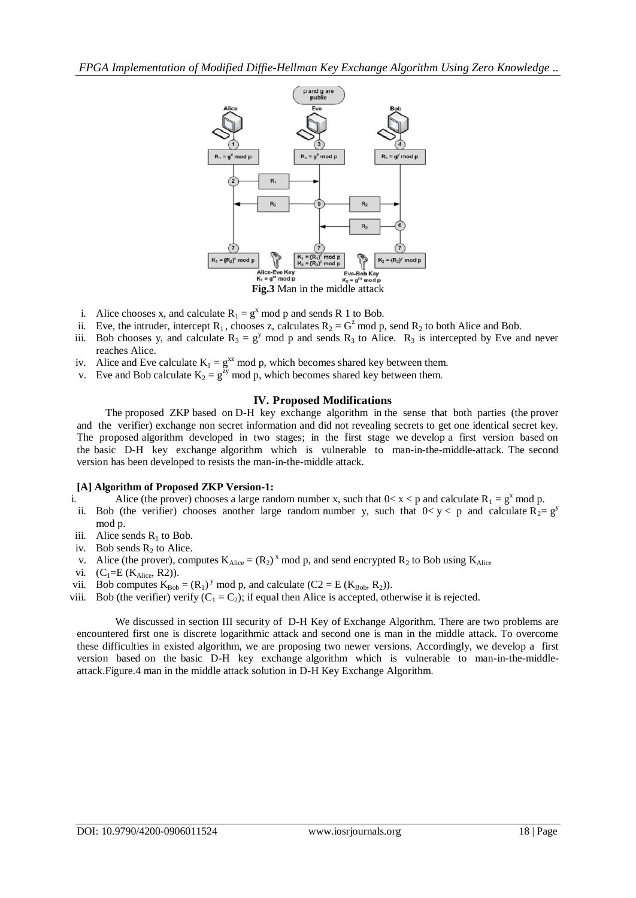

- i. Alice chooses x, and calculate  $R_1 = g^x \text{ mod } p$  and sends R 1 to Bob.
- ii. Eve, the intruder, intercept R<sub>1</sub>, chooses z, calculates  $R_2 = G^2$  mod p, send  $R_2$  to both Alice and Bob.
- iii. Bob chooses y, and calculate  $R_3 = g^y$  mod p and sends  $R_3$  to Alice.  $R_3$  is intercepted by Eve and never reaches Alice.
- iv. Alice and Eve calculate  $K_1 = g^{xz} \mod p$ , which becomes shared key between them.
- v. Eve and Bob calculate  $K_2 = g^{zy} \mod p$ , which becomes shared key between them.

# **IV. Proposed Modifications**

The proposed ZKP based on D-H key exchange algorithm in the sense that both parties (the prover and the verifier) exchange non secret information and did not revealing secrets to get one identical secret key. The proposed algorithm developed in two stages; in the first stage we develop a first version based on the basic D-H key exchange algorithm which is vulnerable to man-in-the-middle-attack. The second version has been developed to resists the man-in-the-middle attack.

### **[A] Algorithm of Proposed ZKP Version-1:**

- i. Alice (the prover) chooses a large random number x, such that  $0 < x < p$  and calculate  $R_1 = g^x \mod p$ .
- ii. Bob (the verifier) chooses another large random number y, such that  $0 < y < p$  and calculate R<sub>2</sub>= g<sup>y</sup> mod p.
- iii. Alice sends  $R_1$  to Bob.
- iv. Bob sends  $R_2$  to Alice.
- v. Alice (the prover), computes  $K_{Alice} = (R_2)^x \text{ mod } p$ , and send encrypted  $R_2$  to Bob using  $K_{Alice}$
- vi.  $(C_1=E (K_{Alice}, R2)).$
- vii. Bob computes  $K_{Bob} = (R_1)^y \mod p$ , and calculate  $(C2 = E (K_{Bob}, R_2))$ .
- viii. Bob (the verifier) verify  $(C_1 = C_2)$ ; if equal then Alice is accepted, otherwise it is rejected.

We discussed in section III security of D-H Key of Exchange Algorithm. There are two problems are encountered first one is discrete logarithmic attack and second one is man in the middle attack. To overcome these difficulties in existed algorithm, we are proposing two newer versions. Accordingly, we develop a first version based on the basic D-H key exchange algorithm which is vulnerable to man-in-the-middleattack.Figure.4 man in the middle attack solution in D-H Key Exchange Algorithm.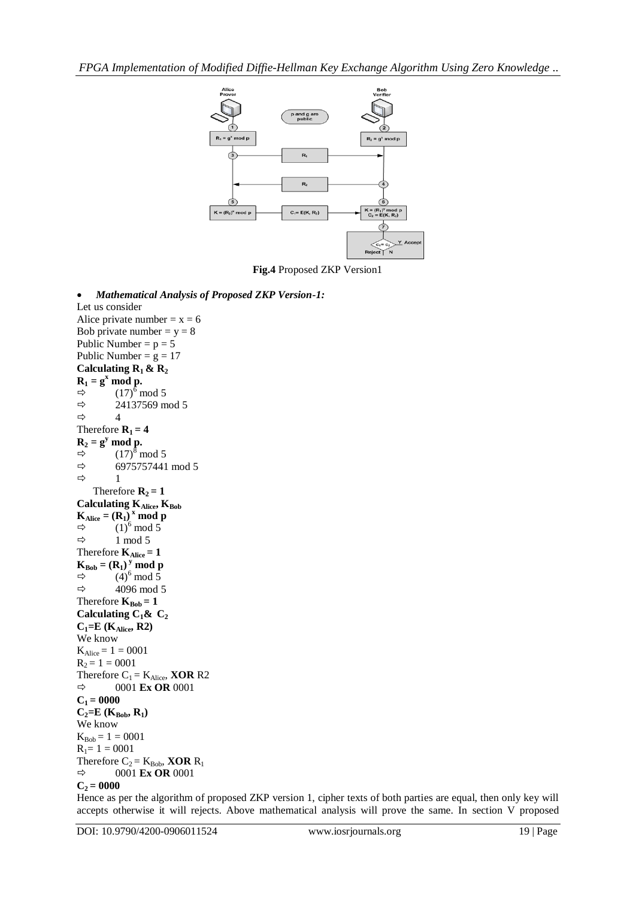

**Fig.4** Proposed ZKP Version1

 *Mathematical Analysis of Proposed ZKP Version-1:* Let us consider Alice private number =  $x = 6$ Bob private number  $y = 8$ Public Number =  $p = 5$ Public Number =  $g = 17$ **Calculating R1 & R<sup>2</sup>**  $\mathbf{R}_1 = \mathbf{g}^{\mathbf{x}} \text{ mod } \mathbf{p}.$ <br>  $\Rightarrow$  (17)<sup>6</sup> n  $\Rightarrow$  (17)<sup>6</sup> mod 5<br> $\Rightarrow$  24137569 m 24137569 mod 5  $\Leftrightarrow$  4 Therefore  $R_1 = 4$  $\mathbf{R}_2 = \mathbf{g}^y \text{ mod } \mathbf{p}.$  $\Rightarrow$  (17)<sup>8</sup> mod 5  $\Rightarrow$  6975757441 mod 5  $ightharpoonup$  1 Therefore  $\mathbf{R}_2 = 1$ **Calculating KAlice, KBob**  $K_{Alice} = (R_1)^x \text{ mod } p$  $\Rightarrow$  (1)<sup>6</sup> mod 5  $\Rightarrow$  1 mod 5 Therefore  $K_{Alice} = 1$  $\mathbf{K}_{\text{Bob}} = (\mathbf{R}_1)^y \text{ mod } \mathbf{p}$  $\Rightarrow$  (4)<sup>6</sup> mod 5<br> $\Rightarrow$  4096 mod 4096 mod 5 Therefore  $\mathbf{K}_{\text{Bob}} = 1$ **Calculating C<sub>1</sub>&**  $C_2$ **C1=E (KAlice, R2)** We know  $K_{Alice} = 1 = 0001$  $R_2 = 1 = 0001$ Therefore  $C_1 = K_{Alice}$ , **XOR** R2  $\Rightarrow$  0001 **Ex OR** 0001  $C_1 = 0000$  $C_2 = E(K_{Bob}, R_1)$ We know  $K_{Bob} = 1 = 0001$  $R_1 = 1 = 0001$ Therefore  $C_2 = K_{Bob}$ , **XOR**  $R_1$  $\Rightarrow$  0001 **Ex OR** 0001  $C_2 = 0000$ 

Hence as per the algorithm of proposed ZKP version 1, cipher texts of both parties are equal, then only key will accepts otherwise it will rejects. Above mathematical analysis will prove the same. In section V proposed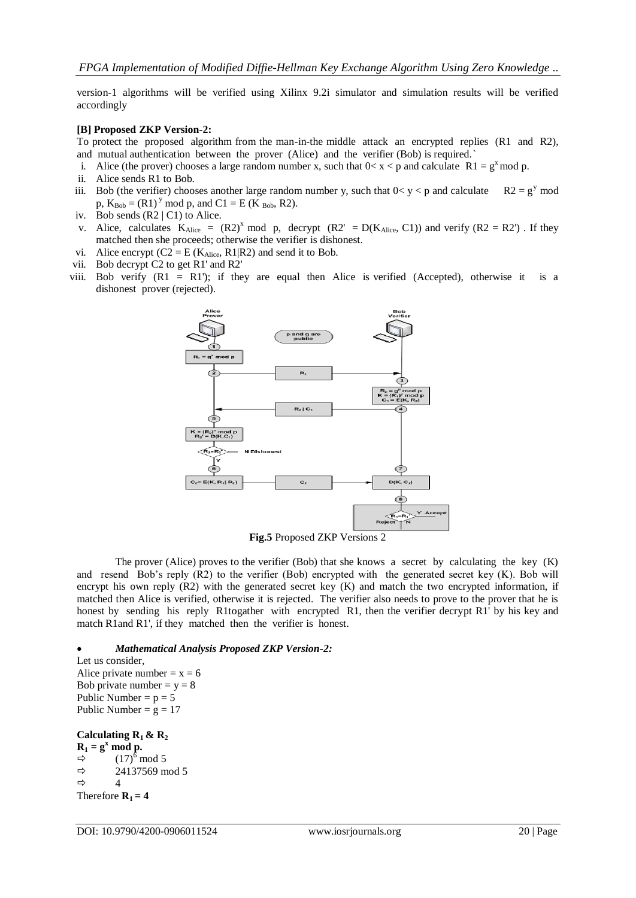version-1 algorithms will be verified using Xilinx 9.2i simulator and simulation results will be verified accordingly

### **[B] Proposed ZKP Version-2:**

To protect the proposed algorithm from the man-in-the middle attack an encrypted replies (R1 and R2), and mutual authentication between the prover (Alice) and the verifier (Bob) is required.`

- i. Alice (the prover) chooses a large random number x, such that  $0 < x < p$  and calculate R1 = g<sup>x</sup> mod p.
- ii. Alice sends R1 to Bob.
- iii. Bob (the verifier) chooses another large random number y, such that  $0 < y < p$  and calculate  $R2 = g<sup>y</sup>$  mod p,  $K_{Bob} = (R1)^{y} \text{ mod } p$ , and  $C1 = E (K_{Bob}, R2)$ .
- iv. Bob sends (R2 | C1) to Alice.
- v. Alice, calculates  $K_{Alice} = (R2)^x \text{ mod } p$ , decrypt  $(R2' = D(K_{Alice}, C1))$  and verify  $(R2 = R2')$ . If they matched then she proceeds; otherwise the verifier is dishonest.
- vi. Alice encrypt  $(C2 = E (K_{Alice}, R1|R2)$  and send it to Bob.
- vii. Bob decrypt C2 to get R1' and R2'
- viii. Bob verify  $(R1 = R1)$ ; if they are equal then Alice is verified (Accepted), otherwise it is a dishonest prover (rejected).



**Fig.5** Proposed ZKP Versions 2

The prover (Alice) proves to the verifier (Bob) that she knows a secret by calculating the key (K) and resend Bob's reply (R2) to the verifier (Bob) encrypted with the generated secret key (K). Bob will encrypt his own reply (R2) with the generated secret key (K) and match the two encrypted information, if matched then Alice is verified, otherwise it is rejected. The verifier also needs to prove to the prover that he is honest by sending his reply R1togather with encrypted R1, then the verifier decrypt R1' by his key and match R1and R1', if they matched then the verifier is honest.

#### *Mathematical Analysis Proposed ZKP Version-2:*

Let us consider, Alice private number =  $x = 6$ Bob private number  $= y = 8$ Public Number  $= p = 5$ Public Number =  $g = 17$ 

### **Calculating R1 & R<sup>2</sup>**

 $R_1 = g^x \mod p$ .  $\Rightarrow$  (17)<sup>6</sup> mod 5  $\Rightarrow$  24137569 mod 5  $\Leftrightarrow$  4 Therefore  $R_1 = 4$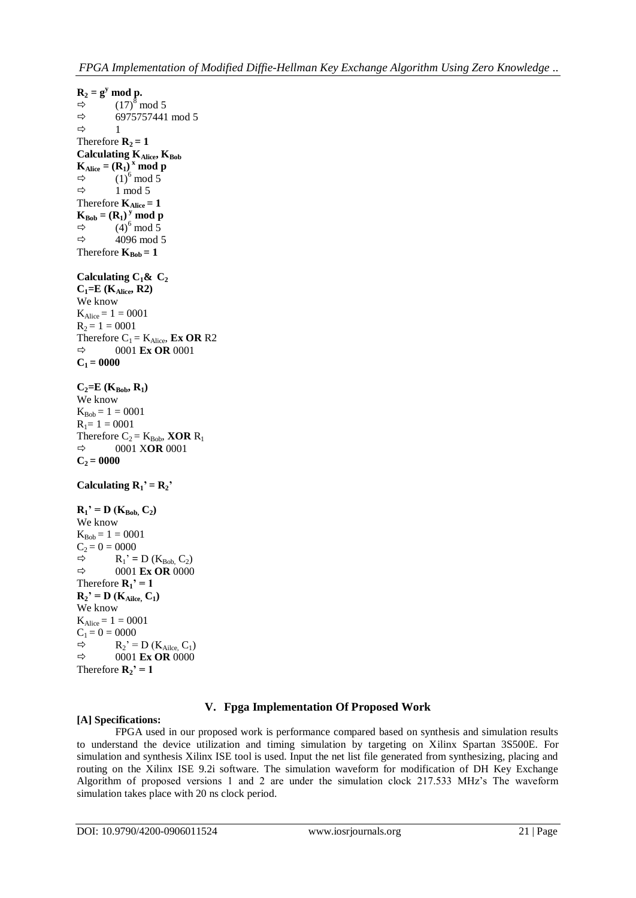```
R_2 = g^y \text{ mod } p.
\Rightarrow (17)<sup>8</sup> mod 5
\Rightarrow 6975757441 mod 5
ightharpoonup 1
Therefore R_2 = 1Calculating KAlice, KBob
K_{Alice} = (R_1)^x \text{ mod } p\Rightarrow (1)<sup>6</sup> mod 5
\Rightarrow 1 mod 5
Therefore K_{Alice} = 1\mathbf{K}_{\text{Bob}} = (\mathbf{R}_1)^y \text{ mod } \mathbf{p}\Rightarrow (4)<sup>6</sup> mod 5
\Rightarrow 4096 mod 5
Therefore K_{Bob} = 1Calculating C_1& C_2C_1 = E (K<sub>Alice</sub>, R2)
We know 
K_{Alice} = 1 = 0001R_2 = 1 = 0001Therefore C_1 = K_{Alice}, Ex OR R2
\Rightarrow 0001 Ex OR 0001
C_1 = 0000C_2 = E (K_{Bob}, R_1)We know 
K_{Bob} = 1 = 0001R_1 = 1 = 0001Therefore C_2 = K_{Bob}, XOR R_1 \Rightarrow 0001 XOR 0001
             0001 XOR 0001
C_2 = 0000Calculating R_1<sup>\prime</sup> = R_2<sup>\prime</sup>
R_1<sup>\cdot = D (K_{Bob}, C_2)</sup>
We know 
K_{Bob} = 1 = 0001C_2 = 0 = 0000<br>\Rightarrow R_1' =R_1' = D (K_{Bob} C_2)\Rightarrow 0001 Ex OR 0000
Therefore \mathbf{R}_1<sup>\cdot</sup> = 1
R_2<sup>'</sup> = D (K_{Alice}, C_1)
We know 
K_{Alice} = 1 = 0001C_1 = 0 = 0000R_2' = D(K_{Alice}, C_1)\Rightarrow 0001 Ex OR 0000
Therefore \mathbf{R}_2<sup>\cdot</sup> = 1
```
# **V. Fpga Implementation Of Proposed Work**

# **[A] Specifications:**

FPGA used in our proposed work is performance compared based on synthesis and simulation results to understand the device utilization and timing simulation by targeting on Xilinx Spartan 3S500E. For simulation and synthesis Xilinx ISE tool is used. Input the net list file generated from synthesizing, placing and routing on the Xilinx ISE 9.2i software. The simulation waveform for modification of DH Key Exchange Algorithm of proposed versions 1 and 2 are under the simulation clock 217.533 MHz's The waveform simulation takes place with 20 ns clock period.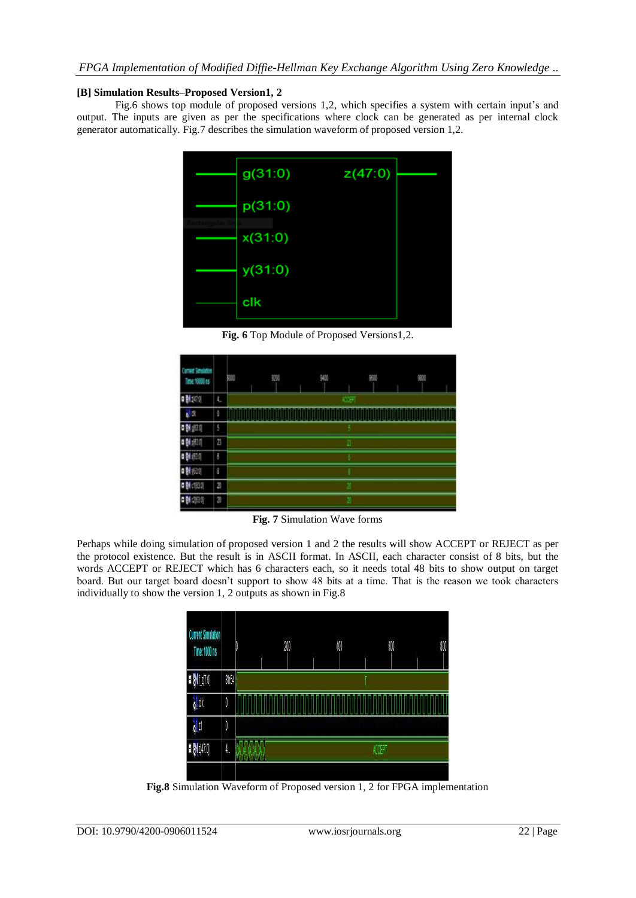# **[B] Simulation Results–Proposed Version1, 2**

Fig.6 shows top module of proposed versions 1,2, which specifies a system with certain input's and output. The inputs are given as per the specifications where clock can be generated as per internal clock generator automatically. Fig.7 describes the simulation waveform of proposed version 1,2.



**Fig. 6** Top Module of Proposed Versions1,2.

| <b>TANK</b><br>m<br><b>23, 1991 15</b> |                | 聊 | 捌 | 900 | 娜             | 900 |
|----------------------------------------|----------------|---|---|-----|---------------|-----|
| 500                                    | ъ              |   |   |     | $\bullet$     |     |
| s B                                    | g              |   |   |     |               |     |
| 相談の<br>П                               | 5              |   |   |     |               |     |
| ű                                      | $\overline{B}$ |   |   |     | Ð             |     |
| 廊坝                                     | õ              |   |   |     |               |     |
| 知明                                     | ŝ              |   |   |     |               |     |
| 0,630<br>Ŀ                             | 2              |   |   |     | 坚             |     |
| 263.0                                  | $\overline{a}$ |   |   |     | $\rightarrow$ |     |

**Fig. 7** Simulation Wave forms

Perhaps while doing simulation of proposed version 1 and 2 the results will show ACCEPT or REJECT as per the protocol existence. But the result is in ASCII format. In ASCII, each character consist of 8 bits, but the words ACCEPT or REJECT which has 6 characters each, so it needs total 48 bits to show output on target board. But our target board doesn't support to show 48 bits at a time. That is the reason we took characters individually to show the version 1, 2 outputs as shown in Fig.8



**Fig.8** Simulation Waveform of Proposed version 1, 2 for FPGA implementation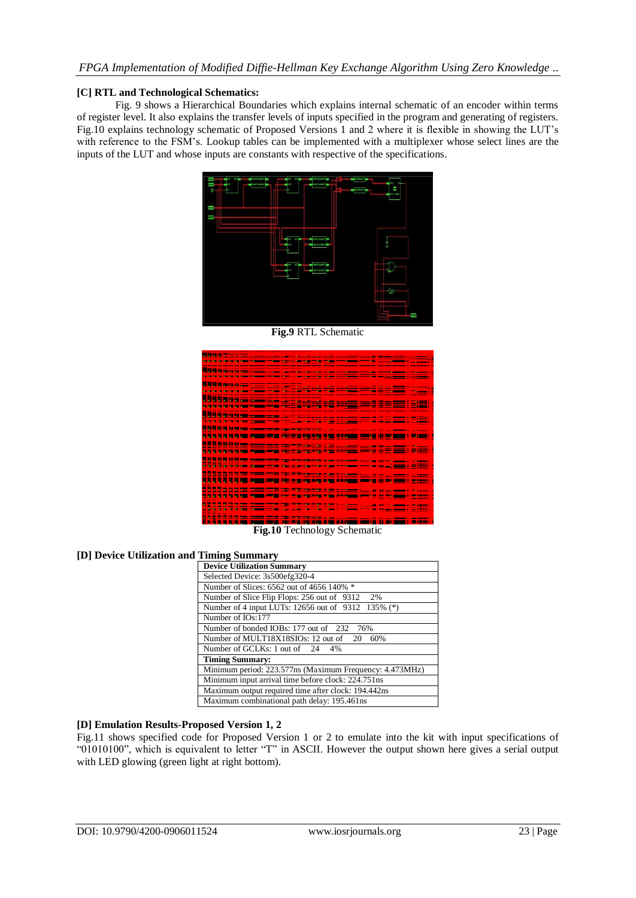### **[C] RTL and Technological Schematics:**

Fig. 9 shows a Hierarchical Boundaries which explains internal schematic of an encoder within terms of register level. It also explains the transfer levels of inputs specified in the program and generating of registers. Fig.10 explains technology schematic of Proposed Versions 1 and 2 where it is flexible in showing the LUT's with reference to the FSM's. Lookup tables can be implemented with a [multiplexer](http://en.wikipedia.org/wiki/Multiplexer) whose select lines are the inputs of the LUT and whose inputs are constants with respective of the specifications.



**Fig.9** RTL Schematic

|  |  |                               |  | filia de la comunicación de la contradición de la constitución de la constitución de la constitución de la comun                                                                                                                     |  |                                                                                                                                                                                                                                      |  |  |                   |      |
|--|--|-------------------------------|--|--------------------------------------------------------------------------------------------------------------------------------------------------------------------------------------------------------------------------------------|--|--------------------------------------------------------------------------------------------------------------------------------------------------------------------------------------------------------------------------------------|--|--|-------------------|------|
|  |  |                               |  | <u>TEN DI SENDER PARA TENNIS VAN SIGNALE DIE EST EIN VAN DIE VAN DIE KANSLIKE KANSLIKE AAN DIE KANSLIKE VA</u>                                                                                                                       |  |                                                                                                                                                                                                                                      |  |  |                   |      |
|  |  |                               |  |                                                                                                                                                                                                                                      |  |                                                                                                                                                                                                                                      |  |  |                   |      |
|  |  |                               |  |                                                                                                                                                                                                                                      |  | <u>state and the state where the state the state of the state of the state of the state state of the state of the state of the state of the state of the state of the state of the state of the state of the state of the state </u> |  |  |                   |      |
|  |  |                               |  |                                                                                                                                                                                                                                      |  |                                                                                                                                                                                                                                      |  |  |                   |      |
|  |  |                               |  | <u> 1 a 4 a 15 a 16 a 16 an - 16 an 16 an 16 an 17ú Meiriceánach (baile 18 an 18 an 18 an 18 an 18 an 18 an 18 an 18 an 18 an 18 an 18 an 18 an 18 an 18 an 18 an 18 an 18 an 18 an 18 an 18 an 18 an 18 an 18 an 18 an 18 an 18</u> |  |                                                                                                                                                                                                                                      |  |  |                   |      |
|  |  |                               |  | <u> 1976 - An Dùbhlachd ann an Dùbhlachd ann an Dùbhlachd ann an Dùbhlachd ann an Dùbhlachd ann an Dùbhlachd ann a</u>                                                                                                               |  |                                                                                                                                                                                                                                      |  |  |                   |      |
|  |  |                               |  |                                                                                                                                                                                                                                      |  |                                                                                                                                                                                                                                      |  |  |                   |      |
|  |  |                               |  |                                                                                                                                                                                                                                      |  |                                                                                                                                                                                                                                      |  |  |                   |      |
|  |  |                               |  |                                                                                                                                                                                                                                      |  |                                                                                                                                                                                                                                      |  |  |                   |      |
|  |  |                               |  | <u>WWW.com -sesent-tennesses</u> : - <u>;</u>                                                                                                                                                                                        |  |                                                                                                                                                                                                                                      |  |  |                   |      |
|  |  |                               |  |                                                                                                                                                                                                                                      |  |                                                                                                                                                                                                                                      |  |  |                   |      |
|  |  |                               |  |                                                                                                                                                                                                                                      |  |                                                                                                                                                                                                                                      |  |  |                   |      |
|  |  |                               |  |                                                                                                                                                                                                                                      |  |                                                                                                                                                                                                                                      |  |  |                   |      |
|  |  |                               |  |                                                                                                                                                                                                                                      |  |                                                                                                                                                                                                                                      |  |  |                   |      |
|  |  |                               |  | <u>sta di del del le ma milio si Elili</u>                                                                                                                                                                                           |  |                                                                                                                                                                                                                                      |  |  |                   |      |
|  |  | <b>TO THE TABLE TO THE TA</b> |  |                                                                                                                                                                                                                                      |  |                                                                                                                                                                                                                                      |  |  |                   |      |
|  |  |                               |  |                                                                                                                                                                                                                                      |  |                                                                                                                                                                                                                                      |  |  |                   |      |
|  |  | -----------                   |  | <u> 2000 - 2000 - 2000 - 2000 - 2000 - 2000 - 2000 - 2000 - 2000 - 2000 - 2000 - 2000 - 2000 - 2000 - 2000 - 200</u>                                                                                                                 |  |                                                                                                                                                                                                                                      |  |  |                   |      |
|  |  |                               |  |                                                                                                                                                                                                                                      |  |                                                                                                                                                                                                                                      |  |  |                   |      |
|  |  |                               |  | WWW.COMPRODUCTIONS.COMPRODUCTION                                                                                                                                                                                                     |  |                                                                                                                                                                                                                                      |  |  |                   |      |
|  |  |                               |  |                                                                                                                                                                                                                                      |  |                                                                                                                                                                                                                                      |  |  |                   |      |
|  |  |                               |  |                                                                                                                                                                                                                                      |  |                                                                                                                                                                                                                                      |  |  |                   |      |
|  |  |                               |  |                                                                                                                                                                                                                                      |  |                                                                                                                                                                                                                                      |  |  |                   |      |
|  |  |                               |  |                                                                                                                                                                                                                                      |  |                                                                                                                                                                                                                                      |  |  |                   |      |
|  |  |                               |  |                                                                                                                                                                                                                                      |  |                                                                                                                                                                                                                                      |  |  |                   |      |
|  |  |                               |  | ,,,,,,,,,,,,,,,,,,,,,,,,,,,,,,,,,,,,                                                                                                                                                                                                 |  |                                                                                                                                                                                                                                      |  |  |                   |      |
|  |  |                               |  |                                                                                                                                                                                                                                      |  |                                                                                                                                                                                                                                      |  |  |                   |      |
|  |  |                               |  |                                                                                                                                                                                                                                      |  |                                                                                                                                                                                                                                      |  |  |                   |      |
|  |  |                               |  | <u> 1999 - Paris Andrew Maria de Barcelona</u>                                                                                                                                                                                       |  | <u>na sa 22 26 iliyofan sana sa shekara 1</u>                                                                                                                                                                                        |  |  |                   |      |
|  |  |                               |  |                                                                                                                                                                                                                                      |  |                                                                                                                                                                                                                                      |  |  |                   |      |
|  |  |                               |  | <u> 이 이 시 시 시 시 시 에 대한 국제에서 국제의 지원 ( 그는 수업 수업 수업 등 수업 ( 수업 ) 수업 ( 그는 금융 ) 그는 공개</u>                                                                                                                                                  |  |                                                                                                                                                                                                                                      |  |  | <b>CONTRACTOR</b> |      |
|  |  |                               |  |                                                                                                                                                                                                                                      |  |                                                                                                                                                                                                                                      |  |  |                   |      |
|  |  |                               |  |                                                                                                                                                                                                                                      |  |                                                                                                                                                                                                                                      |  |  |                   |      |
|  |  |                               |  |                                                                                                                                                                                                                                      |  |                                                                                                                                                                                                                                      |  |  |                   |      |
|  |  |                               |  |                                                                                                                                                                                                                                      |  |                                                                                                                                                                                                                                      |  |  |                   |      |
|  |  |                               |  | <u> 1999 - La de la comunicación de la contrada de la comunicación de la comunicación de la comunicación de la c</u>                                                                                                                 |  |                                                                                                                                                                                                                                      |  |  |                   |      |
|  |  |                               |  |                                                                                                                                                                                                                                      |  |                                                                                                                                                                                                                                      |  |  |                   |      |
|  |  |                               |  |                                                                                                                                                                                                                                      |  |                                                                                                                                                                                                                                      |  |  |                   |      |
|  |  | <b>ALCOHOL: NO ALCOHOL:</b>   |  | <u>19 200 200 300 200 200 200 200 200 200 </u>                                                                                                                                                                                       |  |                                                                                                                                                                                                                                      |  |  |                   |      |
|  |  |                               |  |                                                                                                                                                                                                                                      |  |                                                                                                                                                                                                                                      |  |  |                   |      |
|  |  |                               |  | <u>المعاجل المسار</u> ط الإله السابقة السيادة كإن لانه والأردالي وإكلي                                                                                                                                                               |  |                                                                                                                                                                                                                                      |  |  |                   |      |
|  |  |                               |  |                                                                                                                                                                                                                                      |  |                                                                                                                                                                                                                                      |  |  |                   |      |
|  |  |                               |  |                                                                                                                                                                                                                                      |  |                                                                                                                                                                                                                                      |  |  |                   |      |
|  |  |                               |  | <u> 1988 - 대한 1981 - 대한 1981 - 대한 1982 - 1982 - 1982 - 1982 - 1982 - 1982 - 1982 - 1982 - 1982 - 1982 - 1982 - 1</u>                                                                                                                 |  |                                                                                                                                                                                                                                      |  |  |                   |      |
|  |  |                               |  | <u> Tan Tanzania ya Tanzania (Tinggi Sigara)</u>                                                                                                                                                                                     |  |                                                                                                                                                                                                                                      |  |  |                   |      |
|  |  | .                             |  |                                                                                                                                                                                                                                      |  |                                                                                                                                                                                                                                      |  |  |                   |      |
|  |  |                               |  |                                                                                                                                                                                                                                      |  |                                                                                                                                                                                                                                      |  |  |                   |      |
|  |  |                               |  |                                                                                                                                                                                                                                      |  |                                                                                                                                                                                                                                      |  |  |                   |      |
|  |  |                               |  |                                                                                                                                                                                                                                      |  |                                                                                                                                                                                                                                      |  |  |                   | ____ |
|  |  |                               |  |                                                                                                                                                                                                                                      |  |                                                                                                                                                                                                                                      |  |  |                   |      |
|  |  |                               |  |                                                                                                                                                                                                                                      |  |                                                                                                                                                                                                                                      |  |  |                   |      |
|  |  |                               |  |                                                                                                                                                                                                                                      |  |                                                                                                                                                                                                                                      |  |  |                   |      |
|  |  |                               |  | 2000 HISTORY AND RESIDENCE TO A REPORT OF A 1990 HISTORY AND RELEASED TO A 1990 HISTORY AND RELEASED                                                                                                                                 |  |                                                                                                                                                                                                                                      |  |  |                   |      |
|  |  |                               |  |                                                                                                                                                                                                                                      |  |                                                                                                                                                                                                                                      |  |  |                   |      |
|  |  |                               |  |                                                                                                                                                                                                                                      |  |                                                                                                                                                                                                                                      |  |  |                   |      |
|  |  |                               |  | $T^*$ 40 $T^*$ 1 1 $(1 \tcdot )^*$                                                                                                                                                                                                   |  |                                                                                                                                                                                                                                      |  |  |                   |      |
|  |  |                               |  |                                                                                                                                                                                                                                      |  |                                                                                                                                                                                                                                      |  |  |                   |      |

**Fig.10** Technology Schematic

# **[D] Device Utilization and Timing Summary**

| <b>Device Utilization Summary</b>                       |
|---------------------------------------------------------|
| Selected Device: 3s500efg320-4                          |
| Number of Slices: 6562 out of 4656 140% *               |
| Number of Slice Flip Flops: 256 out of 9312<br>2%       |
| Number of 4 input LUTs: 12656 out of 9312 135% (*)      |
| Number of IOs:177                                       |
| Number of bonded IOBs: 177 out of 232 76%               |
| Number of MULT18X18SIOs: 12 out of 20 60%               |
| Number of GCLKs: 1 out of 24 4%                         |
| <b>Timing Summary:</b>                                  |
| Minimum period: 223.577ns (Maximum Frequency: 4.473MHz) |
| Minimum input arrival time before clock: 224.751ns      |
| Maximum output required time after clock: 194.442ns     |
| Maximum combinational path delay: 195.461ns             |

# **[D] Emulation Results-Proposed Version 1, 2**

Fig.11 shows specified code for Proposed Version 1 or 2 to emulate into the kit with input specifications of "01010100", which is equivalent to letter "T" in ASCII. However the output shown here gives a serial output with LED glowing (green light at right bottom).